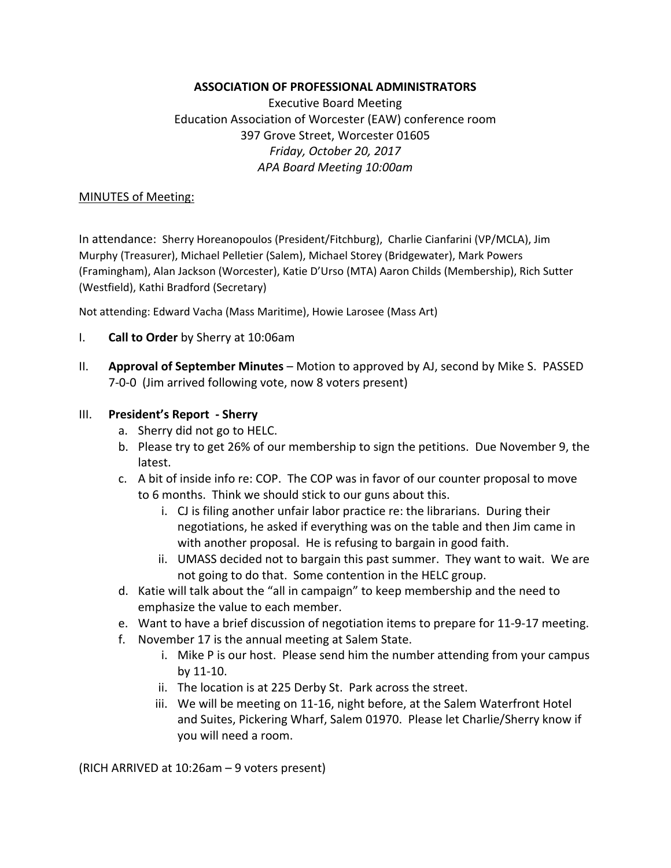#### **ASSOCIATION OF PROFESSIONAL ADMINISTRATORS**

Executive Board Meeting Education Association of Worcester (EAW) conference room 397 Grove Street, Worcester 01605 *Friday, October 20, 2017 APA Board Meeting 10:00am*

#### MINUTES of Meeting:

In attendance: Sherry Horeanopoulos (President/Fitchburg), Charlie Cianfarini (VP/MCLA), Jim Murphy (Treasurer), Michael Pelletier (Salem), Michael Storey (Bridgewater), Mark Powers (Framingham), Alan Jackson (Worcester), Katie D'Urso (MTA) Aaron Childs (Membership), Rich Sutter (Westfield), Kathi Bradford (Secretary)

Not attending: Edward Vacha (Mass Maritime), Howie Larosee (Mass Art)

- I. **Call to Order** by Sherry at 10:06am
- II. **Approval of September Minutes**  Motion to approved by AJ, second by Mike S. PASSED 7‐0‐0 (Jim arrived following vote, now 8 voters present)

#### III. **President's Report ‐ Sherry**

- a. Sherry did not go to HELC.
- b. Please try to get 26% of our membership to sign the petitions. Due November 9, the latest.
- c. A bit of inside info re: COP. The COP was in favor of our counter proposal to move to 6 months. Think we should stick to our guns about this.
	- i. CJ is filing another unfair labor practice re: the librarians. During their negotiations, he asked if everything was on the table and then Jim came in with another proposal. He is refusing to bargain in good faith.
	- ii. UMASS decided not to bargain this past summer. They want to wait. We are not going to do that. Some contention in the HELC group.
- d. Katie will talk about the "all in campaign" to keep membership and the need to emphasize the value to each member.
- e. Want to have a brief discussion of negotiation items to prepare for 11‐9‐17 meeting.
- f. November 17 is the annual meeting at Salem State.
	- i. Mike P is our host. Please send him the number attending from your campus by 11‐10.
	- ii. The location is at 225 Derby St. Park across the street.
	- iii. We will be meeting on 11‐16, night before, at the Salem Waterfront Hotel and Suites, Pickering Wharf, Salem 01970. Please let Charlie/Sherry know if you will need a room.

(RICH ARRIVED at 10:26am – 9 voters present)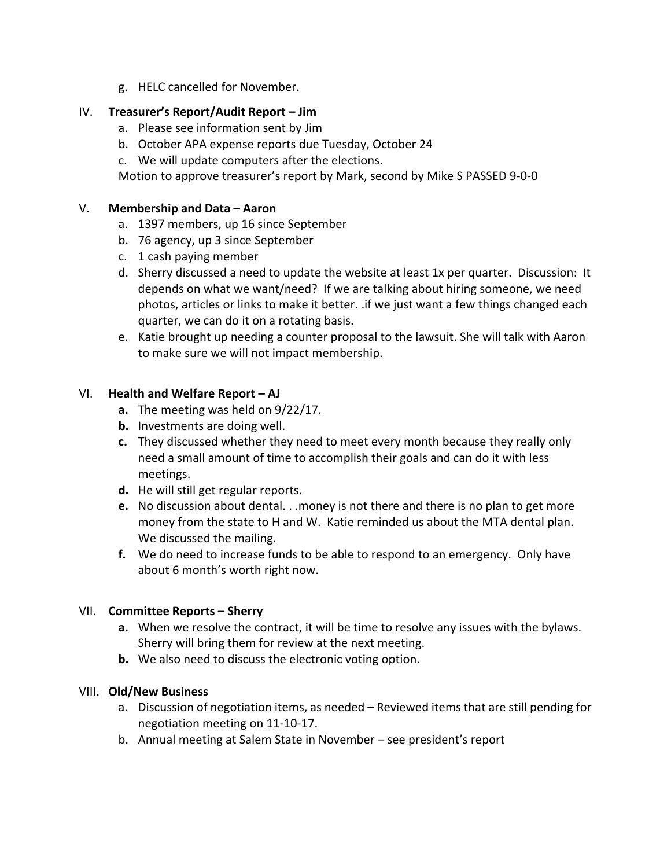g. HELC cancelled for November.

### IV. **Treasurer's Report/Audit Report – Jim**

- a. Please see information sent by Jim
- b. October APA expense reports due Tuesday, October 24
- c. We will update computers after the elections.

Motion to approve treasurer's report by Mark, second by Mike S PASSED 9‐0‐0

#### V. **Membership and Data – Aaron**

- a. 1397 members, up 16 since September
- b. 76 agency, up 3 since September
- c. 1 cash paying member
- d. Sherry discussed a need to update the website at least 1x per quarter. Discussion: It depends on what we want/need? If we are talking about hiring someone, we need photos, articles or links to make it better. .if we just want a few things changed each quarter, we can do it on a rotating basis.
- e. Katie brought up needing a counter proposal to the lawsuit. She will talk with Aaron to make sure we will not impact membership.

# VI. **Health and Welfare Report – AJ**

- **a.** The meeting was held on 9/22/17.
- **b.** Investments are doing well.
- **c.** They discussed whether they need to meet every month because they really only need a small amount of time to accomplish their goals and can do it with less meetings.
- **d.** He will still get regular reports.
- **e.** No discussion about dental. . .money is not there and there is no plan to get more money from the state to H and W. Katie reminded us about the MTA dental plan. We discussed the mailing.
- **f.** We do need to increase funds to be able to respond to an emergency. Only have about 6 month's worth right now.

# VII. **Committee Reports – Sherry**

- **a.** When we resolve the contract, it will be time to resolve any issues with the bylaws. Sherry will bring them for review at the next meeting.
- **b.** We also need to discuss the electronic voting option.

# VIII. **Old/New Business**

- a. Discussion of negotiation items, as needed Reviewed items that are still pending for negotiation meeting on 11‐10‐17.
- b. Annual meeting at Salem State in November see president's report